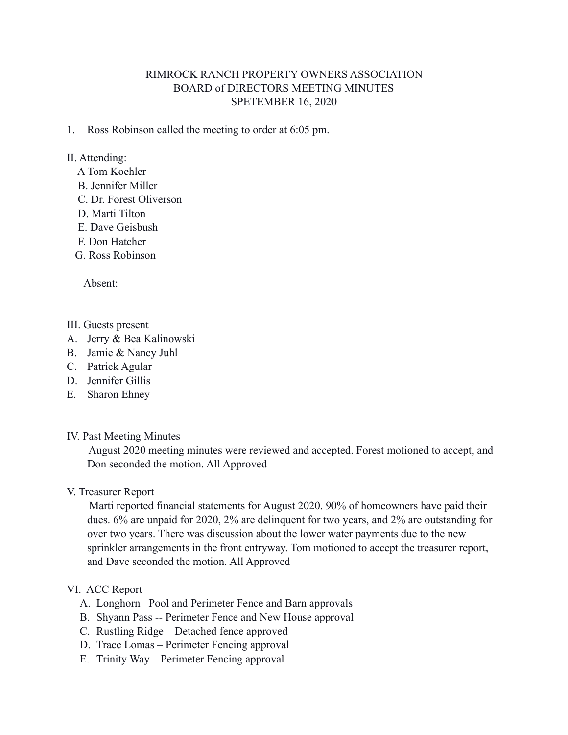## RIMROCK RANCH PROPERTY OWNERS ASSOCIATION BOARD of DIRECTORS MEETING MINUTES SPETEMBER 16, 2020

1. Ross Robinson called the meeting to order at 6:05 pm.

### II. Attending:

- A Tom Koehler
- B. Jennifer Miller
- C. Dr. Forest Oliverson
- D. Marti Tilton
- E. Dave Geisbush
- F. Don Hatcher
- G. Ross Robinson

Absent:

#### III. Guests present

- A. Jerry & Bea Kalinowski
- B. Jamie & Nancy Juhl
- C. Patrick Agular
- D. Jennifer Gillis
- E. Sharon Ehney
- IV. Past Meeting Minutes

 August 2020 meeting minutes were reviewed and accepted. Forest motioned to accept, and Don seconded the motion. All Approved

V. Treasurer Report

 Marti reported financial statements for August 2020. 90% of homeowners have paid their dues. 6% are unpaid for 2020, 2% are delinquent for two years, and 2% are outstanding for over two years. There was discussion about the lower water payments due to the new sprinkler arrangements in the front entryway. Tom motioned to accept the treasurer report, and Dave seconded the motion. All Approved

#### VI. ACC Report

- A. Longhorn –Pool and Perimeter Fence and Barn approvals
- B. Shyann Pass -- Perimeter Fence and New House approval
- C. Rustling Ridge Detached fence approved
- D. Trace Lomas Perimeter Fencing approval
- E. Trinity Way Perimeter Fencing approval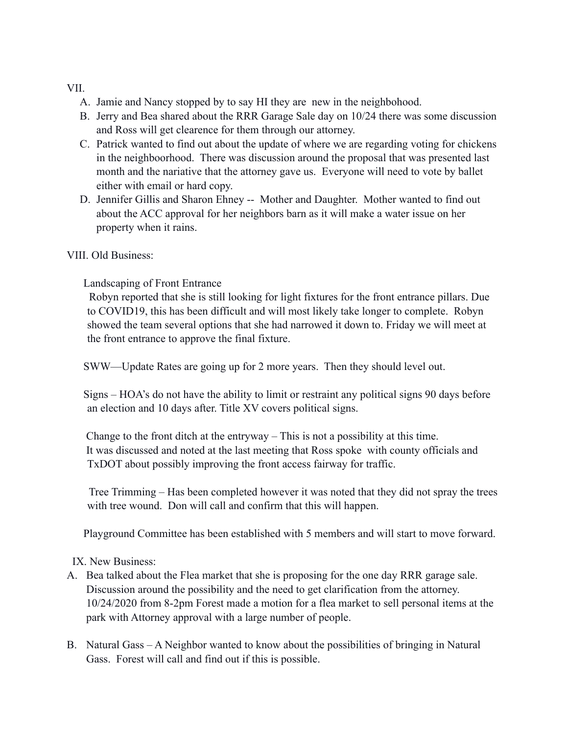### VII.

- A. Jamie and Nancy stopped by to say HI they are new in the neighbohood.
- B. Jerry and Bea shared about the RRR Garage Sale day on 10/24 there was some discussion and Ross will get clearence for them through our attorney.
- C. Patrick wanted to find out about the update of where we are regarding voting for chickens in the neighboorhood. There was discussion around the proposal that was presented last month and the nariative that the attorney gave us. Everyone will need to vote by ballet either with email or hard copy.
- D. Jennifer Gillis and Sharon Ehney -- Mother and Daughter. Mother wanted to find out about the ACC approval for her neighbors barn as it will make a water issue on her property when it rains.

### VIII. Old Business:

# Landscaping of Front Entrance

 Robyn reported that she is still looking for light fixtures for the front entrance pillars. Due to COVID19, this has been difficult and will most likely take longer to complete. Robyn showed the team several options that she had narrowed it down to. Friday we will meet at the front entrance to approve the final fixture.

SWW—Update Rates are going up for 2 more years. Then they should level out.

 Signs – HOA's do not have the ability to limit or restraint any political signs 90 days before an election and 10 days after. Title XV covers political signs.

 Change to the front ditch at the entryway – This is not a possibility at this time. It was discussed and noted at the last meeting that Ross spoke with county officials and TxDOT about possibly improving the front access fairway for traffic.

 Tree Trimming – Has been completed however it was noted that they did not spray the trees with tree wound. Don will call and confirm that this will happen.

Playground Committee has been established with 5 members and will start to move forward.

IX. New Business:

- A. Bea talked about the Flea market that she is proposing for the one day RRR garage sale. Discussion around the possibility and the need to get clarification from the attorney. 10/24/2020 from 8-2pm Forest made a motion for a flea market to sell personal items at the park with Attorney approval with a large number of people.
- B. Natural Gass A Neighbor wanted to know about the possibilities of bringing in Natural Gass. Forest will call and find out if this is possible.